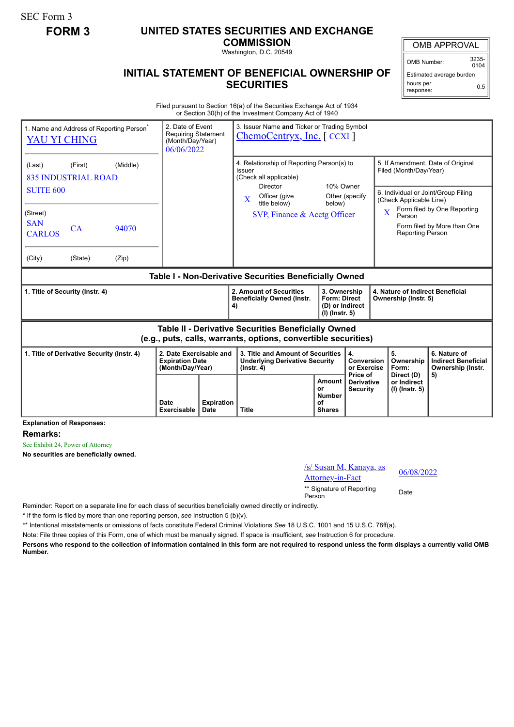SEC Form 3

## **FORM 3 UNITED STATES SECURITIES AND EXCHANGE**

**COMMISSION**

Washington, D.C. 20549

## **INITIAL STATEMENT OF BENEFICIAL OWNERSHIP OF SECURITIES**

OMB APPROVAL

OMB Number: 3235-  $0104$ 

Estimated average burden hours per response: 0.5

Filed pursuant to Section 16(a) of the Securities Exchange Act of 1934 or Section 30(h) of the Investment Company Act of 1940

| 1. Name and Address of Reporting Person <sup>®</sup><br>YAU YI CHING                                                  |                                                   |                                   | 2. Date of Event<br><b>Requiring Statement</b><br>(Month/Day/Year)<br>06/06/2022 |              | 3. Issuer Name and Ticker or Trading Symbol<br>$ChemoCentryx, Inc.$ $CCXI$                                    |                                                                          |                                                    |                                                                                                                                                                        |                                                                 |  |
|-----------------------------------------------------------------------------------------------------------------------|---------------------------------------------------|-----------------------------------|----------------------------------------------------------------------------------|--------------|---------------------------------------------------------------------------------------------------------------|--------------------------------------------------------------------------|----------------------------------------------------|------------------------------------------------------------------------------------------------------------------------------------------------------------------------|-----------------------------------------------------------------|--|
| (Last)                                                                                                                | (Middle)<br>(First)<br><b>835 INDUSTRIAL ROAD</b> |                                   |                                                                                  |              | 4. Relationship of Reporting Person(s) to<br>Issuer<br>(Check all applicable)<br>10% Owner<br><b>Director</b> |                                                                          |                                                    | 5. If Amendment, Date of Original<br>Filed (Month/Day/Year)                                                                                                            |                                                                 |  |
| <b>SUITE 600</b><br>(Street)<br><b>SAN</b><br><b>CARLOS</b>                                                           | <b>CA</b>                                         | 94070                             |                                                                                  |              | Officer (give<br>$\mathbf{X}$<br>title below)<br>SVP, Finance $\&$ Acctg Officer                              | below)                                                                   | Other (specify                                     | 6. Individual or Joint/Group Filing<br>(Check Applicable Line)<br>Form filed by One Reporting<br>X<br>Person<br>Form filed by More than One<br><b>Reporting Person</b> |                                                                 |  |
| (City)                                                                                                                | (State)                                           | (Zip)                             |                                                                                  |              |                                                                                                               |                                                                          |                                                    |                                                                                                                                                                        |                                                                 |  |
| <b>Table I - Non-Derivative Securities Beneficially Owned</b>                                                         |                                                   |                                   |                                                                                  |              |                                                                                                               |                                                                          |                                                    |                                                                                                                                                                        |                                                                 |  |
| 1. Title of Security (Instr. 4)                                                                                       |                                                   |                                   |                                                                                  |              | 2. Amount of Securities<br><b>Beneficially Owned (Instr.</b><br>4)                                            | 3. Ownership<br><b>Form: Direct</b><br>(D) or Indirect<br>(I) (Instr. 5) |                                                    | 4. Nature of Indirect Beneficial<br>Ownership (Instr. 5)                                                                                                               |                                                                 |  |
| Table II - Derivative Securities Beneficially Owned<br>(e.g., puts, calls, warrants, options, convertible securities) |                                                   |                                   |                                                                                  |              |                                                                                                               |                                                                          |                                                    |                                                                                                                                                                        |                                                                 |  |
| 1. Title of Derivative Security (Instr. 4)                                                                            |                                                   |                                   | 2. Date Exercisable and<br><b>Expiration Date</b><br>(Month/Day/Year)            |              | 3. Title and Amount of Securities<br><b>Underlying Derivative Security</b><br>$($ lnstr. 4 $)$                |                                                                          | 4.<br><b>Conversion</b><br>or Exercise<br>Price of | 5.<br>Ownership<br>Form:                                                                                                                                               | 6. Nature of<br><b>Indirect Beneficial</b><br>Ownership (Instr. |  |
|                                                                                                                       |                                                   | <b>Date</b><br><b>Exercisable</b> | <b>Expiration</b><br><b>Date</b>                                                 | <b>Title</b> | Amount<br>or<br><b>Number</b><br>οf<br><b>Shares</b>                                                          | <b>Derivative</b><br><b>Security</b>                                     | Direct (D)<br>or Indirect<br>(I) (Instr. 5)        | 5)                                                                                                                                                                     |                                                                 |  |

**Explanation of Responses:**

**Remarks:**

See Exhibit 24, Power of Attorney

**No securities are beneficially owned.**

| /s/ Susan M, Kanaya, as             | 06/0 |
|-------------------------------------|------|
| <b>Attorney-in-Fact</b>             |      |
| ** Signature of Reporting<br>Person | Date |

06/08/2022

Reminder: Report on a separate line for each class of securities beneficially owned directly or indirectly.

\* If the form is filed by more than one reporting person, *see* Instruction 5 (b)(v).

\*\* Intentional misstatements or omissions of facts constitute Federal Criminal Violations *See* 18 U.S.C. 1001 and 15 U.S.C. 78ff(a).

Note: File three copies of this Form, one of which must be manually signed. If space is insufficient, *see* Instruction 6 for procedure.

**Persons who respond to the collection of information contained in this form are not required to respond unless the form displays a currently valid OMB Number.**